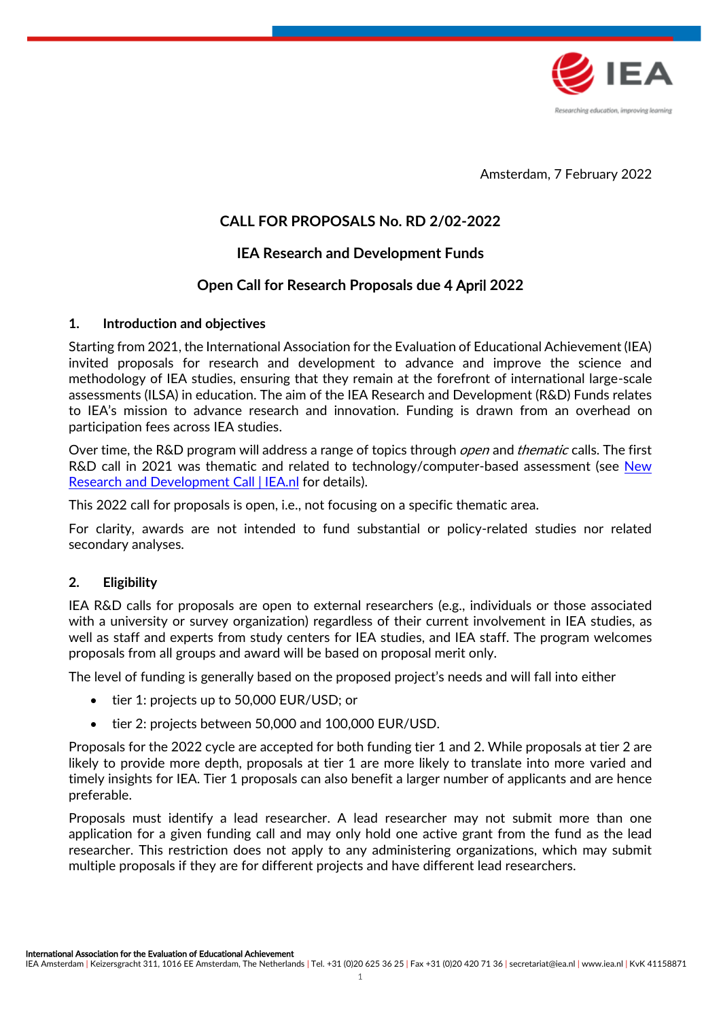

Amsterdam, 7 February 2022

# **CALL FOR PROPOSALS No. RD 2/02-2022**

# **IEA Research and Development Funds**

# **Open Call for Research Proposals due** 4 April **2022**

### **1. Introduction and objectives**

Starting from 2021, the International Association for the Evaluation of Educational Achievement (IEA) invited proposals for research and development to advance and improve the science and methodology of IEA studies, ensuring that they remain at the forefront of international large-scale assessments (ILSA) in education. The aim of the IEA Research and Development (R&D) Funds relates to IEA's mission to advance research and innovation. Funding is drawn from an overhead on participation fees across IEA studies.

Over time, the R&D program will address a range of topics through *open* and *thematic* calls. The first R&D call in 2021 was thematic and related to technology/computer-based assessment (see [New](https://www.iea.nl/news-events/news/new-research-and-development-call)  [Research and Development Call | IEA.nl](https://www.iea.nl/news-events/news/new-research-and-development-call) for details).

This 2022 call for proposals is open, i.e., not focusing on a specific thematic area.

For clarity, awards are not intended to fund substantial or policy-related studies nor related secondary analyses.

## **2. Eligibility**

IEA R&D calls for proposals are open to external researchers (e.g., individuals or those associated with a university or survey organization) regardless of their current involvement in IEA studies, as well as staff and experts from study centers for IEA studies, and IEA staff. The program welcomes proposals from all groups and award will be based on proposal merit only.

The level of funding is generally based on the proposed project's needs and will fall into either

- tier 1: projects up to 50,000 EUR/USD; or
- tier 2: projects between 50,000 and 100,000 EUR/USD.

Proposals for the 2022 cycle are accepted for both funding tier 1 and 2. While proposals at tier 2 are likely to provide more depth, proposals at tier 1 are more likely to translate into more varied and timely insights for IEA. Tier 1 proposals can also benefit a larger number of applicants and are hence preferable.

Proposals must identify a lead researcher. A lead researcher may not submit more than one application for a given funding call and may only hold one active grant from the fund as the lead researcher. This restriction does not apply to any administering organizations, which may submit multiple proposals if they are for different projects and have different lead researchers.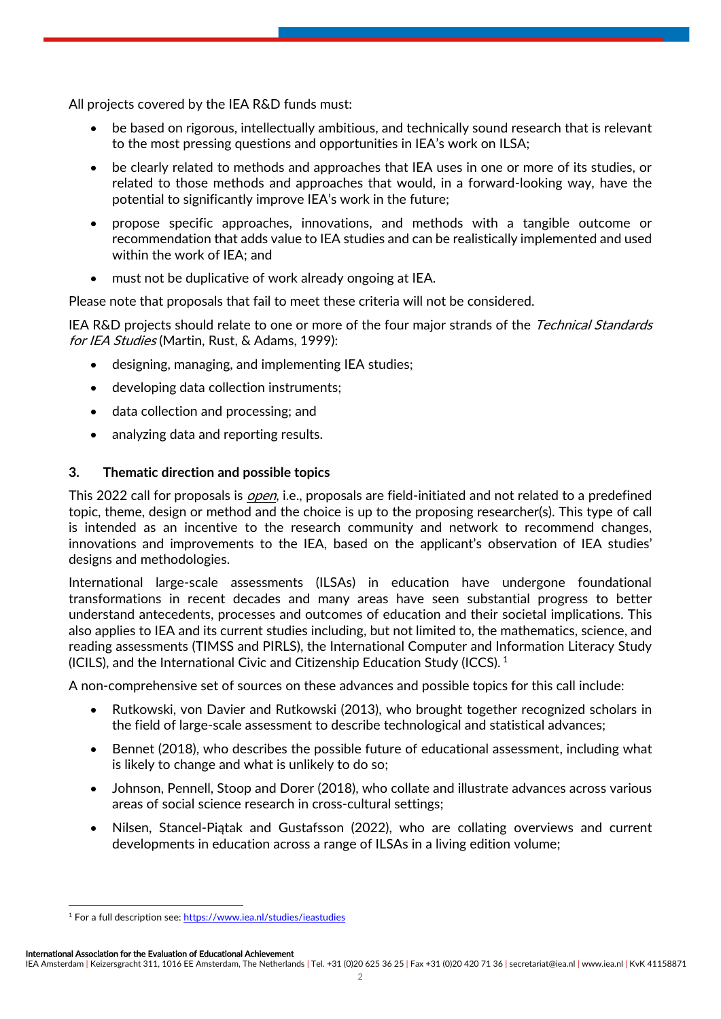All projects covered by the IEA R&D funds must:

- be based on rigorous, intellectually ambitious, and technically sound research that is relevant to the most pressing questions and opportunities in IEA's work on ILSA;
- be clearly related to methods and approaches that IEA uses in one or more of its studies, or related to those methods and approaches that would, in a forward-looking way, have the potential to significantly improve IEA's work in the future;
- propose specific approaches, innovations, and methods with a tangible outcome or recommendation that adds value to IEA studies and can be realistically implemented and used within the work of IEA; and
- must not be duplicative of work already ongoing at IEA.

Please note that proposals that fail to meet these criteria will not be considered.

IEA R&D projects should relate to one or more of the four major strands of the Technical Standards for IEA Studies (Martin, Rust, & Adams, 1999):

- designing, managing, and implementing IEA studies;
- developing data collection instruments;
- data collection and processing; and
- analyzing data and reporting results.

## **3. Thematic direction and possible topics**

This 2022 call for proposals is *open*, i.e., proposals are field-initiated and not related to a predefined topic, theme, design or method and the choice is up to the proposing researcher(s). This type of call is intended as an incentive to the research community and network to recommend changes, innovations and improvements to the IEA, based on the applicant's observation of IEA studies' designs and methodologies.

International large-scale assessments (ILSAs) in education have undergone foundational transformations in recent decades and many areas have seen substantial progress to better understand antecedents, processes and outcomes of education and their societal implications. This also applies to IEA and its current studies including, but not limited to, the mathematics, science, and reading assessments (TIMSS and PIRLS), the International Computer and Information Literacy Study (ICILS), and the International Civic and Citizenship Education Study (ICCS). <sup>1</sup>

A non-comprehensive set of sources on these advances and possible topics for this call include:

- Rutkowski, von Davier and Rutkowski (2013), who brought together recognized scholars in the field of large-scale assessment to describe technological and statistical advances;
- Bennet (2018), who describes the possible future of educational assessment, including what is likely to change and what is unlikely to do so;
- Johnson, Pennell, Stoop and Dorer (2018), who collate and illustrate advances across various areas of social science research in cross-cultural settings;
- Nilsen, Stancel-Piątak and Gustafsson (2022), who are collating overviews and current developments in education across a range of ILSAs in a living edition volume;

International Association for the Evaluation of Educational Achievement

<sup>&</sup>lt;sup>1</sup> For a full description see:<https://www.iea.nl/studies/ieastudies>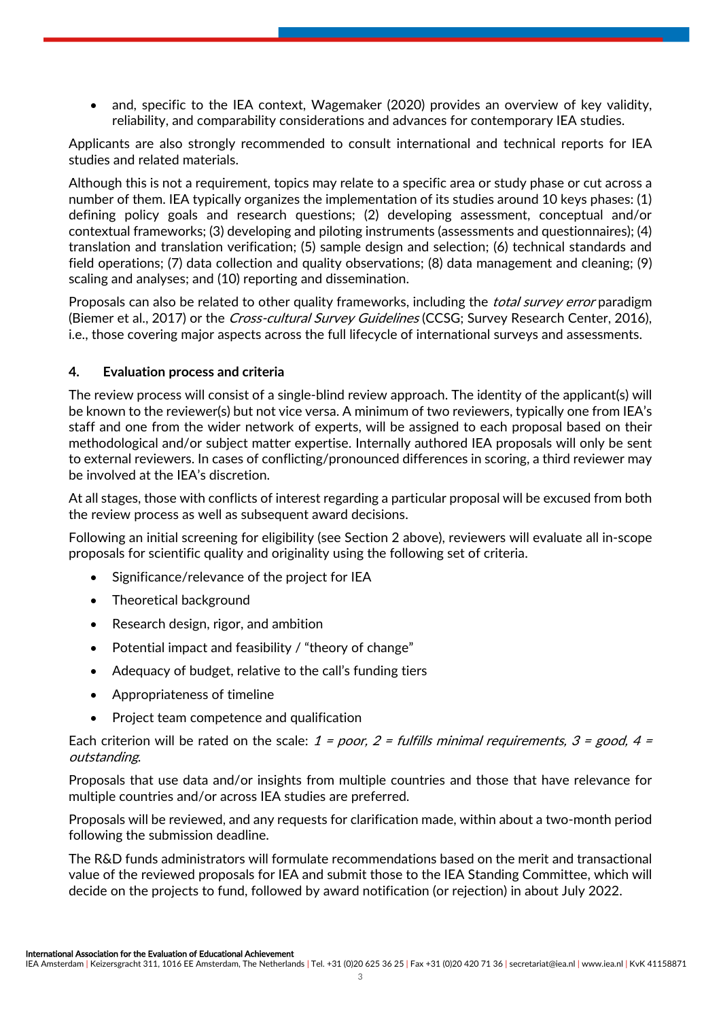• and, specific to the IEA context, Wagemaker (2020) provides an overview of key validity, reliability, and comparability considerations and advances for contemporary IEA studies.

Applicants are also strongly recommended to consult international and technical reports for IEA studies and related materials.

Although this is not a requirement, topics may relate to a specific area or study phase or cut across a number of them. IEA typically organizes the implementation of its studies around 10 keys phases: (1) defining policy goals and research questions; (2) developing assessment, conceptual and/or contextual frameworks; (3) developing and piloting instruments (assessments and questionnaires); (4) translation and translation verification; (5) sample design and selection; (6) technical standards and field operations; (7) data collection and quality observations; (8) data management and cleaning; (9) scaling and analyses; and (10) reporting and dissemination.

Proposals can also be related to other quality frameworks, including the *total survey error* paradigm (Biemer et al., 2017) or the *Cross-cultural Survey Guidelines* (CCSG; Survey Research Center, 2016), i.e., those covering major aspects across the full lifecycle of international surveys and assessments.

## **4. Evaluation process and criteria**

The review process will consist of a single-blind review approach. The identity of the applicant(s) will be known to the reviewer(s) but not vice versa. A minimum of two reviewers, typically one from IEA's staff and one from the wider network of experts, will be assigned to each proposal based on their methodological and/or subject matter expertise. Internally authored IEA proposals will only be sent to external reviewers. In cases of conflicting/pronounced differences in scoring, a third reviewer may be involved at the IEA's discretion.

At all stages, those with conflicts of interest regarding a particular proposal will be excused from both the review process as well as subsequent award decisions.

Following an initial screening for eligibility (see Section 2 above), reviewers will evaluate all in-scope proposals for scientific quality and originality using the following set of criteria.

- Significance/relevance of the project for IEA
- Theoretical background
- Research design, rigor, and ambition
- Potential impact and feasibility / "theory of change"
- Adequacy of budget, relative to the call's funding tiers
- Appropriateness of timeline
- Project team competence and qualification

Each criterion will be rated on the scale:  $1 = poor$ ,  $2 = full$  fulls minimal requirements,  $3 = good$ ,  $4 =$ outstanding.

Proposals that use data and/or insights from multiple countries and those that have relevance for multiple countries and/or across IEA studies are preferred.

Proposals will be reviewed, and any requests for clarification made, within about a two-month period following the submission deadline.

The R&D funds administrators will formulate recommendations based on the merit and transactional value of the reviewed proposals for IEA and submit those to the IEA Standing Committee, which will decide on the projects to fund, followed by award notification (or rejection) in about July 2022.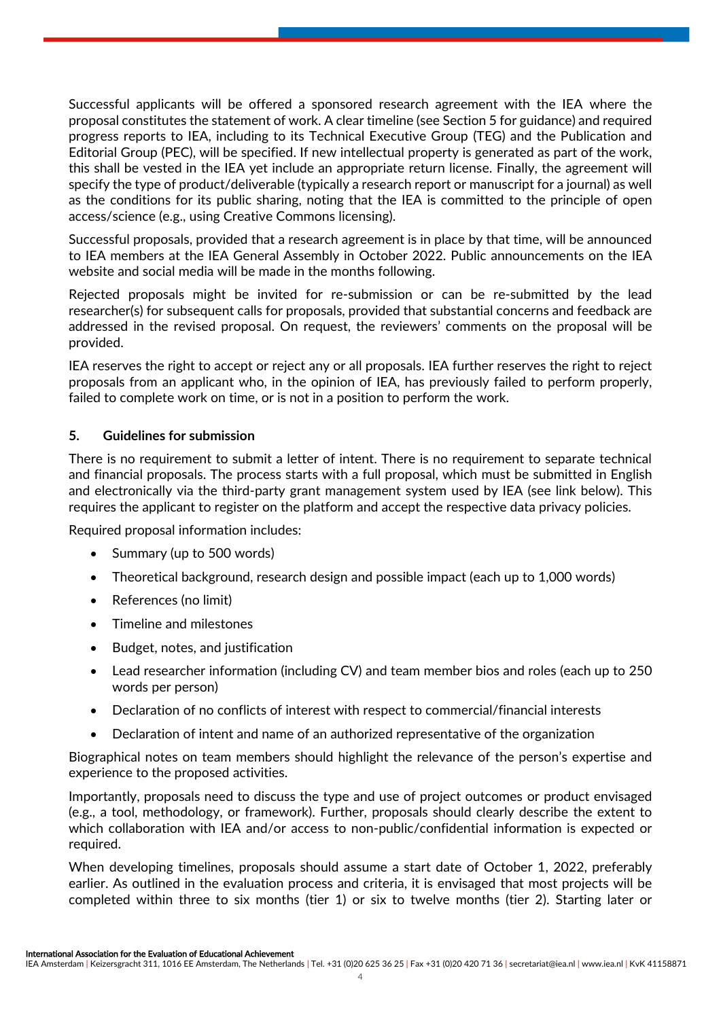Successful applicants will be offered a sponsored research agreement with the IEA where the proposal constitutes the statement of work. A clear timeline (see Section 5 for guidance) and required progress reports to IEA, including to its Technical Executive Group (TEG) and the Publication and Editorial Group (PEC), will be specified. If new intellectual property is generated as part of the work, this shall be vested in the IEA yet include an appropriate return license. Finally, the agreement will specify the type of product/deliverable (typically a research report or manuscript for a journal) as well as the conditions for its public sharing, noting that the IEA is committed to the principle of open access/science (e.g., using Creative Commons licensing).

Successful proposals, provided that a research agreement is in place by that time, will be announced to IEA members at the IEA General Assembly in October 2022. Public announcements on the IEA website and social media will be made in the months following.

Rejected proposals might be invited for re-submission or can be re-submitted by the lead researcher(s) for subsequent calls for proposals, provided that substantial concerns and feedback are addressed in the revised proposal. On request, the reviewers' comments on the proposal will be provided.

IEA reserves the right to accept or reject any or all proposals. IEA further reserves the right to reject proposals from an applicant who, in the opinion of IEA, has previously failed to perform properly, failed to complete work on time, or is not in a position to perform the work.

### **5. Guidelines for submission**

There is no requirement to submit a letter of intent. There is no requirement to separate technical and financial proposals. The process starts with a full proposal, which must be submitted in English and electronically via the third-party grant management system used by IEA (see link below). This requires the applicant to register on the platform and accept the respective data privacy policies.

Required proposal information includes:

- Summary (up to 500 words)
- Theoretical background, research design and possible impact (each up to 1,000 words)
- References (no limit)
- Timeline and milestones
- Budget, notes, and justification
- Lead researcher information (including CV) and team member bios and roles (each up to 250 words per person)
- Declaration of no conflicts of interest with respect to commercial/financial interests
- Declaration of intent and name of an authorized representative of the organization

Biographical notes on team members should highlight the relevance of the person's expertise and experience to the proposed activities.

Importantly, proposals need to discuss the type and use of project outcomes or product envisaged (e.g., a tool, methodology, or framework). Further, proposals should clearly describe the extent to which collaboration with IEA and/or access to non-public/confidential information is expected or required.

When developing timelines, proposals should assume a start date of October 1, 2022, preferably earlier. As outlined in the evaluation process and criteria, it is envisaged that most projects will be completed within three to six months (tier 1) or six to twelve months (tier 2). Starting later or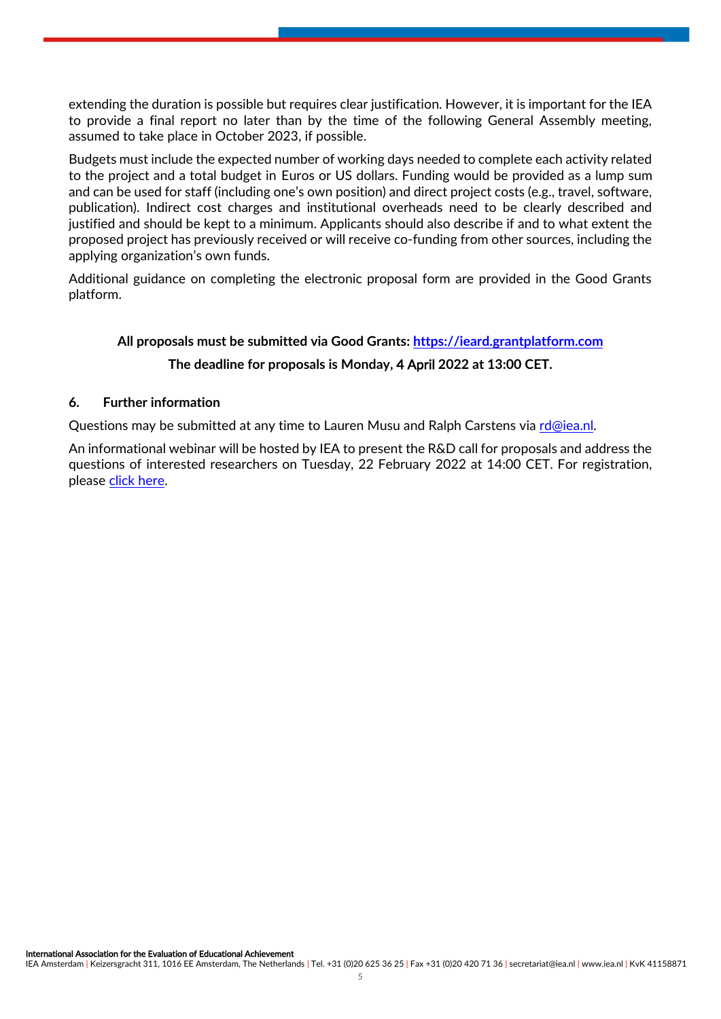extending the duration is possible but requires clear justification. However, it is important for the IEA to provide a final report no later than by the time of the following General Assembly meeting, assumed to take place in October 2023, if possible.

Budgets must include the expected number of working days needed to complete each activity related to the project and a total budget in Euros or US dollars. Funding would be provided as a lump sum and can be used for staff (including one's own position) and direct project costs (e.g., travel, software, publication). Indirect cost charges and institutional overheads need to be clearly described and justified and should be kept to a minimum. Applicants should also describe if and to what extent the proposed project has previously received or will receive co-funding from other sources, including the applying organization's own funds.

Additional guidance on completing the electronic proposal form are provided in the Good Grants platform.

# **All proposals must be submitted via Good Grants: [https://ieard.grantplatform.com](https://ieard.grantplatform.com/) The deadline for proposals is Monday,** 4 April **2022 at 13:00 CET.**

#### **6. Further information**

Questions may be submitted at any time to Lauren Musu and Ralph Carstens via [rd@iea.nl.](mailto:rd@iea.nl)

An informational webinar will be hosted by IEA to present the R&D call for proposals and address the questions of interested researchers on Tuesday, 22 February 2022 at 14:00 CET. For registration, pleas[e click here.](https://forms.office.com/pages/responsepage.aspx?id=ebsX43kQv02xujVAogvUQOqKAIbZg-tFhWl4-PI1QeNUN1BCSEVQQ0xNN1gyQkFHME5VOEtYTVQ1Si4u&wdLOR=c0CF9D7FB-4222-4C76-8192-CFD25B283936)